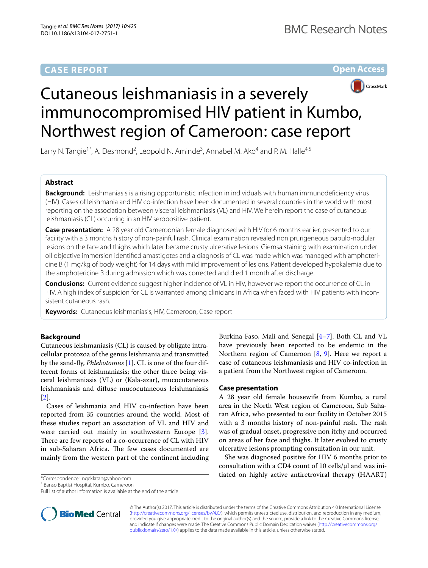# **CASE REPORT**

**Open Access**



# Cutaneous leishmaniasis in a severely immunocompromised HIV patient in Kumbo, Northwest region of Cameroon: case report

Larry N. Tangie<sup>1\*</sup>, A. Desmond<sup>2</sup>, Leopold N. Aminde<sup>3</sup>, Annabel M. Ako<sup>4</sup> and P. M. Halle<sup>4,5</sup>

# **Abstract**

**Background:** Leishmaniasis is a rising opportunistic infection in individuals with human immunodefciency virus (HIV). Cases of leishmania and HIV co-infection have been documented in several countries in the world with most reporting on the association between visceral leishmaniasis (VL) and HIV. We herein report the case of cutaneous leishmaniasis (CL) occurring in an HIV seropositive patient.

**Case presentation:** A 28 year old Cameroonian female diagnosed with HIV for 6 months earlier, presented to our facility with a 3 months history of non-painful rash. Clinical examination revealed non prurigeneous papulo-nodular lesions on the face and thighs which later became crusty ulcerative lesions. Giemsa staining with examination under oil objective immersion identifed amastigotes and a diagnosis of CL was made which was managed with amphotericine B (1 mg/kg of body weight) for 14 days with mild improvement of lesions. Patient developed hypokalemia due to the amphotericine B during admission which was corrected and died 1 month after discharge.

**Conclusions:** Current evidence suggest higher incidence of VL in HIV, however we report the occurrence of CL in HIV. A high index of suspicion for CL is warranted among clinicians in Africa when faced with HIV patients with inconsistent cutaneous rash.

**Keywords:** Cutaneous leishmaniasis, HIV, Cameroon, Case report

# **Background**

Cutaneous leishmaniasis (CL) is caused by obligate intracellular protozoa of the genus leishmania and transmitted by the sand-fy, *Phlebotomus* [[1\]](#page-2-0). CL is one of the four different forms of leishmaniasis; the other three being visceral leishmaniasis (VL) or (Kala-azar), mucocutaneous leishmaniasis and difuse mucocutaneous leishmaniasis [[2\]](#page-2-1).

Cases of leishmania and HIV co-infection have been reported from 35 countries around the world. Most of these studies report an association of VL and HIV and were carried out mainly in southwestern Europe [\[3](#page-2-2)]. There are few reports of a co-occurrence of CL with HIV in sub-Saharan Africa. The few cases documented are mainly from the western part of the continent including

\*Correspondence: ngeklatan@yahoo.com

<sup>1</sup> Banso Baptist Hospital, Kumbo, Cameroon



## **Case presentation**

A 28 year old female housewife from Kumbo, a rural area in the North West region of Cameroon, Sub Saharan Africa, who presented to our facility in October 2015 with a 3 months history of non-painful rash. The rash was of gradual onset, progressive non itchy and occurred on areas of her face and thighs. It later evolved to crusty ulcerative lesions prompting consultation in our unit.

She was diagnosed positive for HIV 6 months prior to consultation with a CD4 count of 10 cells/ $\mu$ l and was initiated on highly active antiretroviral therapy (HAART)



© The Author(s) 2017. This article is distributed under the terms of the Creative Commons Attribution 4.0 International License [\(http://creativecommons.org/licenses/by/4.0/\)](http://creativecommons.org/licenses/by/4.0/), which permits unrestricted use, distribution, and reproduction in any medium, provided you give appropriate credit to the original author(s) and the source, provide a link to the Creative Commons license, and indicate if changes were made. The Creative Commons Public Domain Dedication waiver ([http://creativecommons.org/](http://creativecommons.org/publicdomain/zero/1.0/) [publicdomain/zero/1.0/](http://creativecommons.org/publicdomain/zero/1.0/)) applies to the data made available in this article, unless otherwise stated.

Full list of author information is available at the end of the article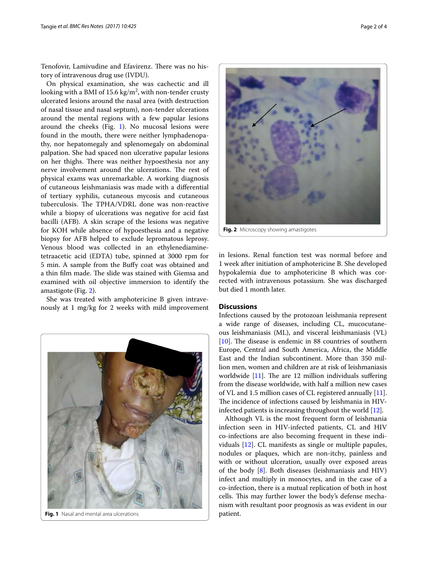Tenofovir, Lamivudine and Efavirenz. There was no history of intravenous drug use (IVDU).

On physical examination, she was cachectic and ill looking with a BMI of 15.6 kg/m<sup>2</sup>, with non-tender crusty ulcerated lesions around the nasal area (with destruction of nasal tissue and nasal septum), non-tender ulcerations around the mental regions with a few papular lesions around the cheeks (Fig. [1](#page-1-0)). No mucosal lesions were found in the mouth, there were neither lymphadenopathy, nor hepatomegaly and splenomegaly on abdominal palpation. She had spaced non ulcerative papular lesions on her thighs. There was neither hypoesthesia nor any nerve involvement around the ulcerations. The rest of physical exams was unremarkable. A working diagnosis of cutaneous leishmaniasis was made with a diferential of tertiary syphilis, cutaneous mycosis and cutaneous tuberculosis. The TPHA/VDRL done was non-reactive while a biopsy of ulcerations was negative for acid fast bacilli (AFB). A skin scrape of the lesions was negative for KOH while absence of hypoesthesia and a negative biopsy for AFB helped to exclude lepromatous leprosy. Venous blood was collected in an ethylenediaminetetraacetic acid (EDTA) tube, spinned at 3000 rpm for 5 min. A sample from the Bufy coat was obtained and a thin film made. The slide was stained with Giemsa and examined with oil objective immersion to identify the amastigote (Fig. [2\)](#page-1-1).

She was treated with amphotericine B given intravenously at 1 mg/kg for 2 weeks with mild improvement

<span id="page-1-0"></span>

**Fig. 1** Nasal and mental area ulcerations **patient. patient.** 



<span id="page-1-1"></span>**Fig. 2** Microscopy showing amastigotes

in lesions. Renal function test was normal before and 1 week after initiation of amphotericine B. She developed hypokalemia due to amphotericine B which was corrected with intravenous potassium. She was discharged but died 1 month later.

## **Discussions**

Infections caused by the protozoan leishmania represent a wide range of diseases, including CL, mucocutaneous leishmaniasis (ML), and visceral leishmaniasis (VL)  $[10]$  $[10]$ . The disease is endemic in 88 countries of southern Europe, Central and South America, Africa, the Middle East and the Indian subcontinent. More than 350 million men, women and children are at risk of leishmaniasis worldwide  $[11]$  $[11]$ . The are 12 million individuals suffering from the disease worldwide, with half a million new cases of VL and 1.5 million cases of CL registered annually [\[11](#page-3-1)]. The incidence of infections caused by leishmania in HIVinfected patients is increasing throughout the world [[12\]](#page-3-2).

Although VL is the most frequent form of leishmania infection seen in HIV-infected patients, CL and HIV co-infections are also becoming frequent in these individuals [\[12\]](#page-3-2). CL manifests as single or multiple papules, nodules or plaques, which are non-itchy, painless and with or without ulceration, usually over exposed areas of the body [\[8](#page-2-5)]. Both diseases (leishmaniasis and HIV) infect and multiply in monocytes, and in the case of a co-infection, there is a mutual replication of both in host cells. This may further lower the body's defense mechanism with resultant poor prognosis as was evident in our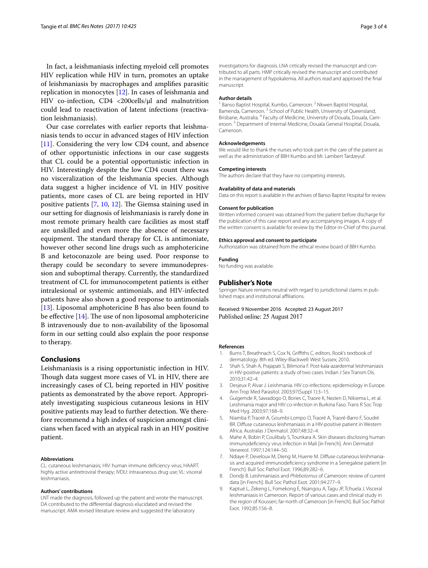In fact, a leishmaniasis infecting myeloid cell promotes HIV replication while HIV in turn, promotes an uptake of leishmaniasis by macrophages and amplifes parasitic replication in monocytes [[12\]](#page-3-2). In cases of leishmania and HIV co-infection, CD4 <200cells/µl and malnutrition could lead to reactivation of latent infections (reactivation leishmaniasis).

Our case correlates with earlier reports that leishmaniasis tends to occur in advanced stages of HIV infection [[11\]](#page-3-1). Considering the very low CD4 count, and absence of other opportunistic infections in our case suggests that CL could be a potential opportunistic infection in HIV. Interestingly despite the low CD4 count there was no visceralization of the leishmania species. Although data suggest a higher incidence of VL in HIV positive patients, more cases of CL are being reported in HIV positive patients  $[7, 10, 12]$  $[7, 10, 12]$  $[7, 10, 12]$  $[7, 10, 12]$  $[7, 10, 12]$ . The Giemsa staining used in our setting for diagnosis of leishmaniasis is rarely done in most remote primary health care facilities as most staf are unskilled and even more the absence of necessary equipment. The standard therapy for CL is antimoniate, however other second line drugs such as amphotericine B and ketoconazole are being used. Poor response to therapy could be secondary to severe immunodepression and suboptimal therapy. Currently, the standardized treatment of CL for immunocompetent patients is either intralesional or systemic antimonials, and HIV-infected patients have also shown a good response to antimonials [[13\]](#page-3-3). Liposomal amphotericine B has also been found to be effective  $[14]$  $[14]$ . The use of non liposomal amphotericine B intravenously due to non-availability of the liposomal form in our setting could also explain the poor response to therapy.

## **Conclusions**

Leishmaniasis is a rising opportunistic infection in HIV. Though data suggest more cases of VL in HIV, there are increasingly cases of CL being reported in HIV positive patients as demonstrated by the above report. Appropriately investigating suspicious cutaneous lesions in HIV positive patients may lead to further detection. We therefore recommend a high index of suspicion amongst clinicians when faced with an atypical rash in an HIV positive patient.

#### **Abbreviations**

CL: cutaneous leishmaniasis; HIV: human immune defciency virus; HAART: highly active antiretroviral therapy; IVDU: intravaneous drug use; VL: visceral leishmaniasis.

#### **Authors' contributions**

LNT made the diagnosis, followed up the patient and wrote the manuscript. DA contributed to the diferential diagnosis elucidated and revised the manuscript. AMA revised literature review and suggested the laboratory

investigations for diagnosis. LNA critically revised the manuscript and contributed to all parts. HMP critically revised the manuscript and contributed in the management of hypokalemia. All authors read and approved the fnal manuscript.

## **Author details**

<sup>1</sup> Banso Baptist Hospital, Kumbo, Cameroon.<sup>2</sup> Nkwen Baptist Hospital, Bamenda, Cameroon.<sup>3</sup> School of Public Health, University of Queensland, Brisbane, Australia. 4 Faculty of Medicine, University of Douala, Douala, Cameroon. 5 Department of Internal Medicine, Douala General Hospital, Douala, Cameroon.

#### **Acknowledgements**

We would like to thank the nurses who took part in the care of the patient as well as the administration of BBH Kumbo and Mr. Lambert Tardzeyuf.

#### **Competing interests**

The authors declare that they have no competing interests.

# **Availability of data and materials**

Data on this report is available in the archives of Banso Baptist Hospital for review.

## **Consent for publication**

Written informed consent was obtained from the patient before discharge for the publication of this case report and any accompanying images. A copy of the written consent is available for review by the Editor-in-Chief of this journal.

## **Ethics approval and consent to participate**

Authorization was obtained from the ethical review board of BBH Kumbo.

#### **Funding**

No funding was available.

#### **Publisher's Note**

Springer Nature remains neutral with regard to jurisdictional claims in published maps and institutional afliations.

Received: 9 November 2016 Accepted: 23 August 2017 Published online: 25 August 2017

#### **References**

- <span id="page-2-0"></span>1. Burns T, Breathnach S, Cox N, Grifths C, editors. Rook's textbook of dermatology. 8th ed. Wiley-Blackwell: West Sussex; 2010.
- <span id="page-2-1"></span>2. Shah S, Shah A, Prajapati S, Bilimoria F. Post-kala-azardermal leishmaniasis in HIV-positive patients: a study of two cases. Indian J Sex Transm Dis. 2010;31:42–4.
- <span id="page-2-2"></span>3. Desjeux P, Alvar J. Leishmania. HIV co-infections: epidemiology in Europe. Ann Trop Med Parasitol. 2003;97(Suppl 1):3–15.
- <span id="page-2-3"></span>4. Guigemde R, Sawadogo O, Bories C, Traore K, Nezien D, Nikiema L, et al. Leishmania major and HIV co-infection in Burkina Faso. Trans R Soc Trop Med Hyg. 2003;97:168–9.
- 5. Niamba P, Traoré A, Goumbi-Lompo O, Traoré A, Traoré-Barro F, Soudré BR. Difuse cutaneous leishmaniasis in a HIV-positive patient in Western Africa. Australas J Dermatol. 2007;48:32–4.
- 6. Mahe A, Bobin P, Coulibaly S, Tounkara A. Skin diseases disclosing human immunodefciency virus infection in Mali [in French]. Ann Dermatol Venereol. 1997;124:144–50.
- <span id="page-2-4"></span>7. Ndiaye P, Develoux M, Dieng M, Huerre M. Difuse cutaneous leishmaniasis and acquired immunodefciency syndrome in a Senegalese patient [in French]. Bull Soc Pathol Exot. 1996;89:282–6.
- <span id="page-2-5"></span>8. Dondji B. Leishmaniasis and *Phlebotomus* of Cameroon: review of current data [in French]. Bull Soc Pathol Exot. 2001;94:277–9.
- <span id="page-2-6"></span>9. Kaptué L, Zekeng L, Fomekong E, Nsangou A, Tagu JP, Tchuela J. Visceral leishmaniasis in Cameroon. Report of various cases and clinical study in the region of Kousseri, far-north of Cameroon [in French]. Bull Soc Pathol Exot. 1992;85:156–8.